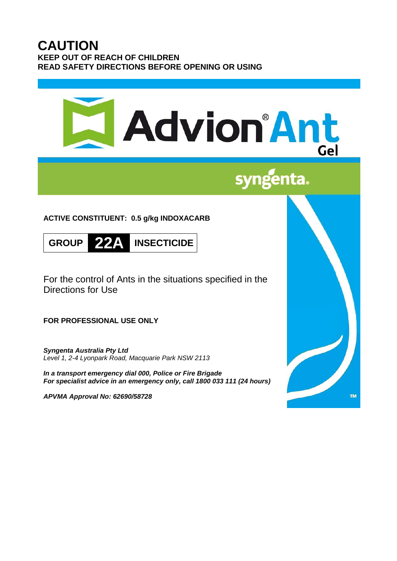# **CAUTION KEEP OUT OF REACH OF CHILDREN READ SAFETY DIRECTIONS BEFORE OPENING OR USING**

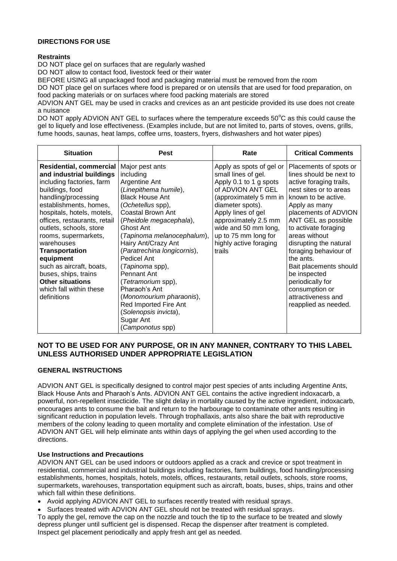### **DIRECTIONS FOR USE**

#### **Restraints**

DO NOT place gel on surfaces that are regularly washed

DO NOT allow to contact food, livestock feed or their water

BEFORE USING all unpackaged food and packaging material must be removed from the room

DO NOT place gel on surfaces where food is prepared or on utensils that are used for food preparation, on food packing materials or on surfaces where food packing materials are stored

ADVION ANT GEL may be used in cracks and crevices as an ant pesticide provided its use does not create a nuisance

DO NOT apply ADVION ANT GEL to surfaces where the temperature exceeds  $50^{\circ}$ C as this could cause the gel to liquefy and lose effectiveness. (Examples include, but are not limited to, parts of stoves, ovens, grills, fume hoods, saunas, heat lamps, coffee urns, toasters, fryers, dishwashers and hot water pipes)

| <b>Situation</b>                                                                                                                                                                                                                                                                                                                                                                                                                                          | <b>Pest</b>                                                                                                                                                                                                                                                                                                                                                                                                                                                                           | Rate                                                                                                                                                                                                                                                                           | <b>Critical Comments</b>                                                                                                                                                                                                                                                                                                                                                                                                             |
|-----------------------------------------------------------------------------------------------------------------------------------------------------------------------------------------------------------------------------------------------------------------------------------------------------------------------------------------------------------------------------------------------------------------------------------------------------------|---------------------------------------------------------------------------------------------------------------------------------------------------------------------------------------------------------------------------------------------------------------------------------------------------------------------------------------------------------------------------------------------------------------------------------------------------------------------------------------|--------------------------------------------------------------------------------------------------------------------------------------------------------------------------------------------------------------------------------------------------------------------------------|--------------------------------------------------------------------------------------------------------------------------------------------------------------------------------------------------------------------------------------------------------------------------------------------------------------------------------------------------------------------------------------------------------------------------------------|
| <b>Residential, commercial</b><br>and industrial buildings<br>including factories, farm<br>buildings, food<br>handling/processing<br>establishments, homes,<br>hospitals, hotels, motels,<br>offices, restaurants, retail<br>outlets, schools, store<br>rooms, supermarkets,<br>warehouses<br><b>Transportation</b><br>equipment<br>such as aircraft, boats,<br>buses, ships, trains<br><b>Other situations</b><br>which fall within these<br>definitions | Major pest ants<br>including<br>Argentine Ant<br>(Linepithema humile),<br><b>Black House Ant</b><br>(Ochetellus spp),<br>Coastal Brown Ant<br>(Pheidole megacephala),<br>Ghost Ant<br>(Tapinoma melanocephalum),<br>Hairy Ant/Crazy Ant<br>(Paratrechina longicornis),<br>Pedicel Ant<br>( <i>Tapinoma</i> spp),<br>Pennant Ant<br>(Tetramorium spp),<br>Pharaoh's Ant<br>(Monomourium pharaonis),<br>Red Imported Fire Ant<br>(Solenopsis invicta),<br>Sugar Ant<br>(Camponotus spp) | Apply as spots of gel or<br>small lines of gel.<br>Apply 0.1 to 1 g spots<br>of ADVION ANT GEL<br>(approximately 5 mm in<br>diameter spots).<br>Apply lines of gel<br>approximately 2.5 mm<br>wide and 50 mm long,<br>up to 75 mm long for<br>highly active foraging<br>trails | Placements of spots or<br>lines should be next to<br>active foraging trails,<br>nest sites or to areas<br>known to be active.<br>Apply as many<br>placements of ADVION<br>ANT GEL as possible<br>to activate foraging<br>areas without<br>disrupting the natural<br>foraging behaviour of<br>the ants.<br>Bait placements should<br>be inspected<br>periodically for<br>consumption or<br>attractiveness and<br>reapplied as needed. |

# **NOT TO BE USED FOR ANY PURPOSE, OR IN ANY MANNER, CONTRARY TO THIS LABEL UNLESS AUTHORISED UNDER APPROPRIATE LEGISLATION**

## **GENERAL INSTRUCTIONS**

ADVION ANT GEL is specifically designed to control major pest species of ants including Argentine Ants, Black House Ants and Pharaoh's Ants. ADVION ANT GEL contains the active ingredient indoxacarb, a powerful, non-repellent insecticide. The slight delay in mortality caused by the active ingredient, indoxacarb, encourages ants to consume the bait and return to the harbourage to contaminate other ants resulting in significant reduction in population levels. Through trophallaxis, ants also share the bait with reproductive members of the colony leading to queen mortality and complete elimination of the infestation. Use of ADVION ANT GEL will help eliminate ants within days of applying the gel when used according to the directions.

#### **Use Instructions and Precautions**

ADVION ANT GEL can be used indoors or outdoors applied as a crack and crevice or spot treatment in residential, commercial and industrial buildings including factories, farm buildings, food handling/processing establishments, homes, hospitals, hotels, motels, offices, restaurants, retail outlets, schools, store rooms, supermarkets, warehouses, transportation equipment such as aircraft, boats, buses, ships, trains and other which fall within these definitions.

- Avoid applying ADVION ANT GEL to surfaces recently treated with residual sprays.
- Surfaces treated with ADVION ANT GEL should not be treated with residual sprays.

To apply the gel, remove the cap on the nozzle and touch the tip to the surface to be treated and slowly depress plunger until sufficient gel is dispensed. Recap the dispenser after treatment is completed. Inspect gel placement periodically and apply fresh ant gel as needed.